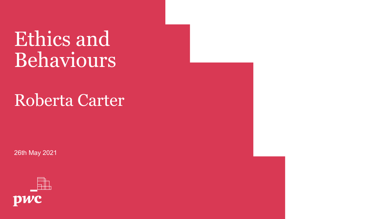## Ethics and Behaviours

### Roberta Carter

26th May 2021

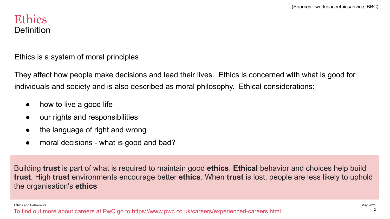#### **Ethics** Definition

Ethics is a system of moral principles

They affect how people make decisions and lead their lives. Ethics is concerned with what is good for individuals and society and is also described as moral philosophy. Ethical considerations:

- how to live a good life
- our rights and responsibilities
- the language of right and wrong
- moral decisions what is good and bad?

Building **trust** is part of what is required to maintain good **ethics**. **Ethical** behavior and choices help build **trust**. High **trust** environments encourage better **ethics**. When **trust** is lost, people are less likely to uphold the organisation's **ethics**

Ethics and Behaviours May 2021

To find out more about careers at PwC go to https://www.pwc.co.uk/careers/experienced-careers.html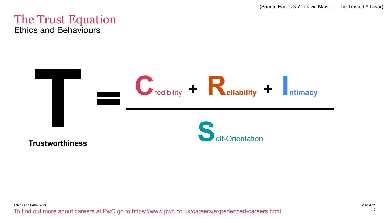(Source Pages 3-7: David Maister - The Trusted Advisor)

#### The Trust Equation Ethics and Behaviours

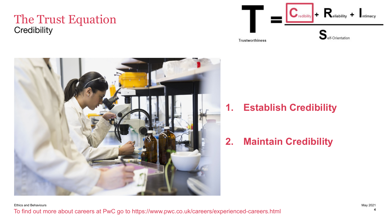#### The Trust Equation **Credibility**





#### **1. Establish Credibility**

**2. Maintain Credibility**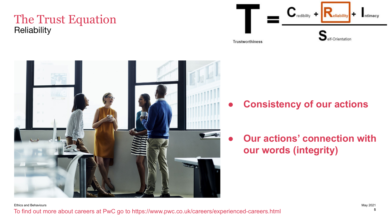#### The Trust Equation **Reliability**





**● Consistency of our actions**

**Our actions' connection with our words (integrity)**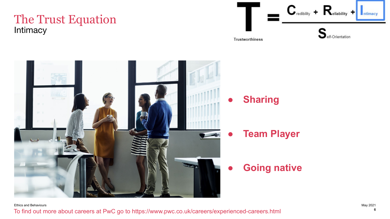#### The Trust Equation **Intimacy**



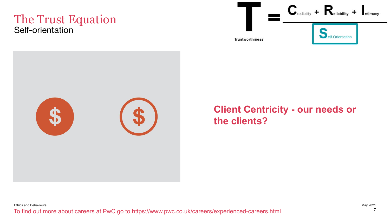#### The Trust Equation Self-orientation





#### **Client Centricity - our needs or the clients?**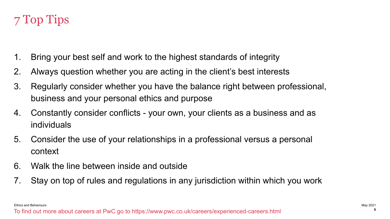#### 7 Top Tips

- 1. Bring your best self and work to the highest standards of integrity
- 2. Always question whether you are acting in the client's best interests
- 3. Regularly consider whether you have the balance right between professional, business and your personal ethics and purpose
- 4. Constantly consider conflicts your own, your clients as a business and as individuals
- 5. Consider the use of your relationships in a professional versus a personal context
- 6. Walk the line between inside and outside
- 7. Stay on top of rules and regulations in any jurisdiction within which you work

Ethics and Behaviours May 2021

To find out more about careers at PwC go to https://www.pwc.co.uk/careers/experienced-careers.html